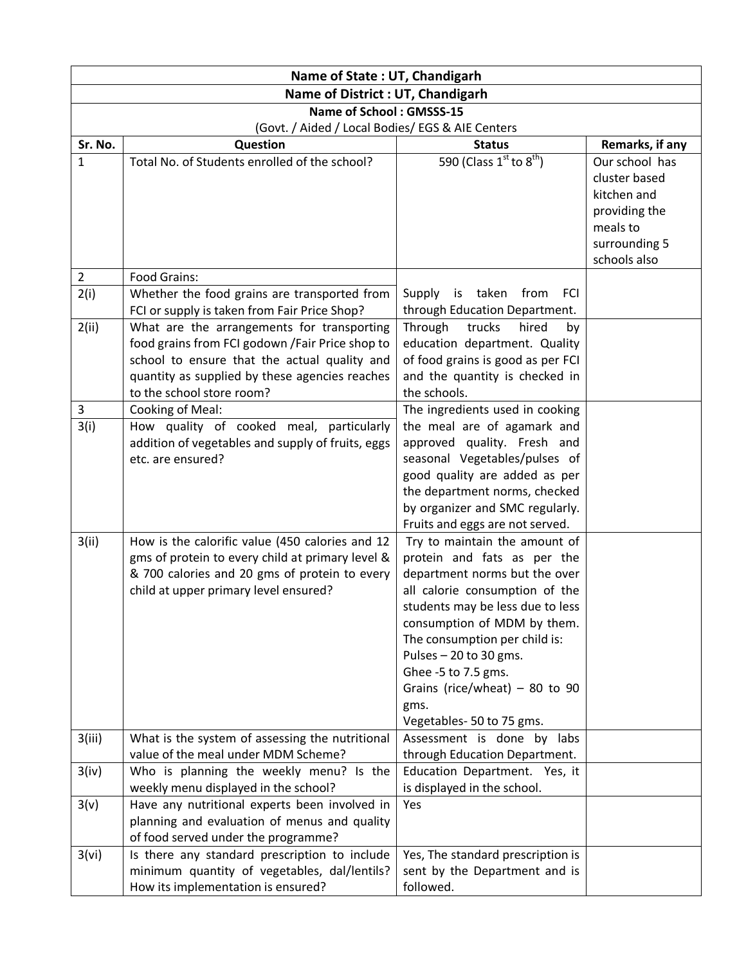| Name of State: UT, Chandigarh                    |                                                                                                                                                                                                                               |                                                                                                                                                                                                                                                                                                                                                              |                                                                                                              |  |
|--------------------------------------------------|-------------------------------------------------------------------------------------------------------------------------------------------------------------------------------------------------------------------------------|--------------------------------------------------------------------------------------------------------------------------------------------------------------------------------------------------------------------------------------------------------------------------------------------------------------------------------------------------------------|--------------------------------------------------------------------------------------------------------------|--|
| Name of District : UT, Chandigarh                |                                                                                                                                                                                                                               |                                                                                                                                                                                                                                                                                                                                                              |                                                                                                              |  |
| Name of School: GMSSS-15                         |                                                                                                                                                                                                                               |                                                                                                                                                                                                                                                                                                                                                              |                                                                                                              |  |
| (Govt. / Aided / Local Bodies/ EGS & AIE Centers |                                                                                                                                                                                                                               |                                                                                                                                                                                                                                                                                                                                                              |                                                                                                              |  |
| Sr. No.                                          | Question                                                                                                                                                                                                                      | <b>Status</b>                                                                                                                                                                                                                                                                                                                                                | Remarks, if any                                                                                              |  |
| 1<br>$\overline{2}$                              | Total No. of Students enrolled of the school?<br>Food Grains:                                                                                                                                                                 | 590 (Class $1^{st}$ to $8^{th}$ )                                                                                                                                                                                                                                                                                                                            | Our school has<br>cluster based<br>kitchen and<br>providing the<br>meals to<br>surrounding 5<br>schools also |  |
| 2(i)                                             | Whether the food grains are transported from                                                                                                                                                                                  | is taken from FCI<br>Supply                                                                                                                                                                                                                                                                                                                                  |                                                                                                              |  |
|                                                  | FCI or supply is taken from Fair Price Shop?                                                                                                                                                                                  | through Education Department.                                                                                                                                                                                                                                                                                                                                |                                                                                                              |  |
| 2(ii)                                            | What are the arrangements for transporting<br>food grains from FCI godown / Fair Price shop to<br>school to ensure that the actual quality and<br>quantity as supplied by these agencies reaches<br>to the school store room? | Through<br>trucks<br>hired<br>by<br>education department. Quality<br>of food grains is good as per FCI<br>and the quantity is checked in<br>the schools.                                                                                                                                                                                                     |                                                                                                              |  |
| $\mathbf{3}$                                     | <b>Cooking of Meal:</b>                                                                                                                                                                                                       | The ingredients used in cooking                                                                                                                                                                                                                                                                                                                              |                                                                                                              |  |
| 3(i)                                             | How quality of cooked meal, particularly<br>addition of vegetables and supply of fruits, eggs<br>etc. are ensured?                                                                                                            | the meal are of agamark and<br>approved quality. Fresh and<br>seasonal Vegetables/pulses of<br>good quality are added as per<br>the department norms, checked<br>by organizer and SMC regularly.<br>Fruits and eggs are not served.                                                                                                                          |                                                                                                              |  |
| 3(ii)                                            | How is the calorific value (450 calories and 12<br>gms of protein to every child at primary level &<br>& 700 calories and 20 gms of protein to every<br>child at upper primary level ensured?                                 | Try to maintain the amount of<br>protein and fats as per the<br>department norms but the over<br>all calorie consumption of the<br>students may be less due to less<br>consumption of MDM by them.<br>The consumption per child is:<br>Pulses $-20$ to 30 gms.<br>Ghee -5 to 7.5 gms.<br>Grains (rice/wheat) $-80$ to 90<br>gms.<br>Vegetables-50 to 75 gms. |                                                                                                              |  |
| 3(iii)                                           | What is the system of assessing the nutritional                                                                                                                                                                               | Assessment is done by labs                                                                                                                                                                                                                                                                                                                                   |                                                                                                              |  |
|                                                  | value of the meal under MDM Scheme?                                                                                                                                                                                           | through Education Department.                                                                                                                                                                                                                                                                                                                                |                                                                                                              |  |
| 3(iv)                                            | Who is planning the weekly menu? Is the<br>weekly menu displayed in the school?                                                                                                                                               | Education Department. Yes, it<br>is displayed in the school.                                                                                                                                                                                                                                                                                                 |                                                                                                              |  |
| 3(v)                                             | Have any nutritional experts been involved in<br>planning and evaluation of menus and quality<br>of food served under the programme?                                                                                          | Yes                                                                                                                                                                                                                                                                                                                                                          |                                                                                                              |  |
| 3(vi)                                            | Is there any standard prescription to include<br>minimum quantity of vegetables, dal/lentils?<br>How its implementation is ensured?                                                                                           | Yes, The standard prescription is<br>sent by the Department and is<br>followed.                                                                                                                                                                                                                                                                              |                                                                                                              |  |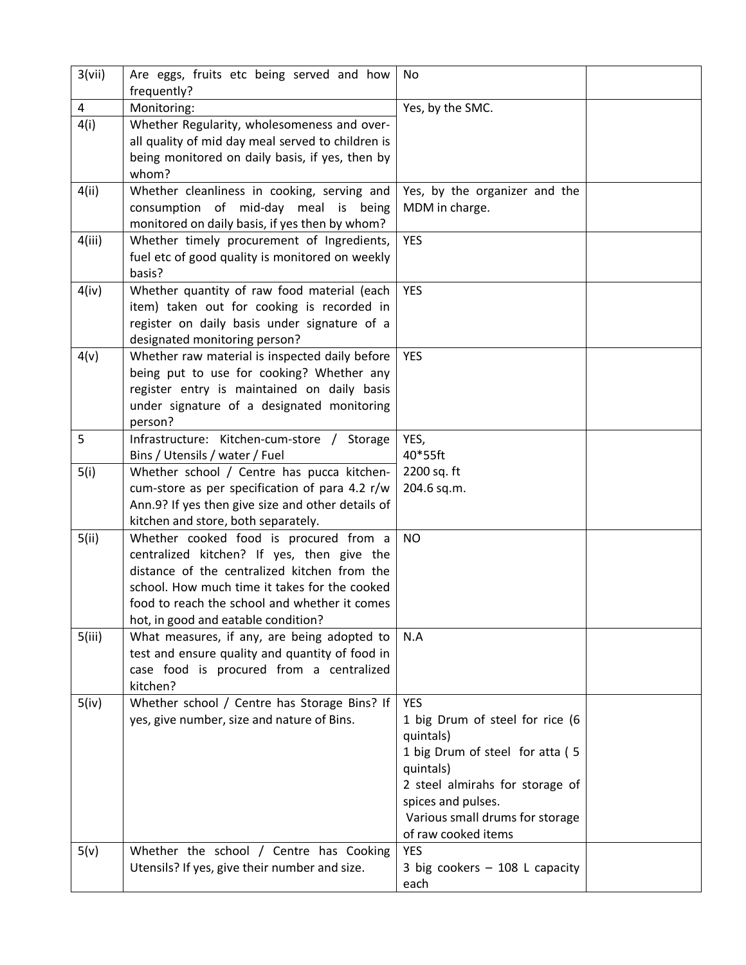| 4<br>Monitoring:<br>Yes, by the SMC.<br>4(i)<br>Whether Regularity, wholesomeness and over-<br>all quality of mid day meal served to children is<br>being monitored on daily basis, if yes, then by<br>whom?<br>4(ii)<br>Whether cleanliness in cooking, serving and<br>Yes, by the organizer and the<br>consumption of mid-day meal is being<br>MDM in charge.<br>monitored on daily basis, if yes then by whom?<br>4(iii)<br>Whether timely procurement of Ingredients,<br><b>YES</b><br>fuel etc of good quality is monitored on weekly<br>basis?<br>4(iv)<br>Whether quantity of raw food material (each<br><b>YES</b><br>item) taken out for cooking is recorded in<br>register on daily basis under signature of a<br>designated monitoring person?<br>4(v)<br>Whether raw material is inspected daily before<br><b>YES</b><br>being put to use for cooking? Whether any<br>register entry is maintained on daily basis<br>under signature of a designated monitoring<br>person?<br>5<br>Infrastructure: Kitchen-cum-store / Storage<br>YES,<br>40*55ft<br>Bins / Utensils / water / Fuel<br>2200 sq. ft<br>5(i)<br>Whether school / Centre has pucca kitchen-<br>cum-store as per specification of para 4.2 r/w<br>204.6 sq.m.<br>Ann.9? If yes then give size and other details of<br>kitchen and store, both separately.<br>5(ii)<br>Whether cooked food is procured from a<br><b>NO</b><br>centralized kitchen? If yes, then give the<br>distance of the centralized kitchen from the<br>school. How much time it takes for the cooked<br>food to reach the school and whether it comes<br>hot, in good and eatable condition?<br>5(iii)<br>What measures, if any, are being adopted to<br>N.A<br>test and ensure quality and quantity of food in<br>case food is procured from a centralized<br>kitchen?<br>Whether school / Centre has Storage Bins? If<br><b>YES</b><br>5(iv)<br>yes, give number, size and nature of Bins.<br>1 big Drum of steel for rice (6<br>quintals)<br>1 big Drum of steel for atta (5<br>quintals)<br>2 steel almirahs for storage of<br>spices and pulses.<br>Various small drums for storage<br>of raw cooked items<br>Whether the school / Centre has Cooking<br><b>YES</b><br>5(v)<br>Utensils? If yes, give their number and size.<br>3 big cookers $-$ 108 L capacity<br>each | 3(vii) | Are eggs, fruits etc being served and how<br>frequently? | No |  |
|---------------------------------------------------------------------------------------------------------------------------------------------------------------------------------------------------------------------------------------------------------------------------------------------------------------------------------------------------------------------------------------------------------------------------------------------------------------------------------------------------------------------------------------------------------------------------------------------------------------------------------------------------------------------------------------------------------------------------------------------------------------------------------------------------------------------------------------------------------------------------------------------------------------------------------------------------------------------------------------------------------------------------------------------------------------------------------------------------------------------------------------------------------------------------------------------------------------------------------------------------------------------------------------------------------------------------------------------------------------------------------------------------------------------------------------------------------------------------------------------------------------------------------------------------------------------------------------------------------------------------------------------------------------------------------------------------------------------------------------------------------------------------------------------------------------------------------------------------------------------------------------------------------------------------------------------------------------------------------------------------------------------------------------------------------------------------------------------------------------------------------------------------------------------------------------------------------------------------------------------------------------------------------------------------------------------------|--------|----------------------------------------------------------|----|--|
|                                                                                                                                                                                                                                                                                                                                                                                                                                                                                                                                                                                                                                                                                                                                                                                                                                                                                                                                                                                                                                                                                                                                                                                                                                                                                                                                                                                                                                                                                                                                                                                                                                                                                                                                                                                                                                                                                                                                                                                                                                                                                                                                                                                                                                                                                                                           |        |                                                          |    |  |
|                                                                                                                                                                                                                                                                                                                                                                                                                                                                                                                                                                                                                                                                                                                                                                                                                                                                                                                                                                                                                                                                                                                                                                                                                                                                                                                                                                                                                                                                                                                                                                                                                                                                                                                                                                                                                                                                                                                                                                                                                                                                                                                                                                                                                                                                                                                           |        |                                                          |    |  |
|                                                                                                                                                                                                                                                                                                                                                                                                                                                                                                                                                                                                                                                                                                                                                                                                                                                                                                                                                                                                                                                                                                                                                                                                                                                                                                                                                                                                                                                                                                                                                                                                                                                                                                                                                                                                                                                                                                                                                                                                                                                                                                                                                                                                                                                                                                                           |        |                                                          |    |  |
|                                                                                                                                                                                                                                                                                                                                                                                                                                                                                                                                                                                                                                                                                                                                                                                                                                                                                                                                                                                                                                                                                                                                                                                                                                                                                                                                                                                                                                                                                                                                                                                                                                                                                                                                                                                                                                                                                                                                                                                                                                                                                                                                                                                                                                                                                                                           |        |                                                          |    |  |
|                                                                                                                                                                                                                                                                                                                                                                                                                                                                                                                                                                                                                                                                                                                                                                                                                                                                                                                                                                                                                                                                                                                                                                                                                                                                                                                                                                                                                                                                                                                                                                                                                                                                                                                                                                                                                                                                                                                                                                                                                                                                                                                                                                                                                                                                                                                           |        |                                                          |    |  |
|                                                                                                                                                                                                                                                                                                                                                                                                                                                                                                                                                                                                                                                                                                                                                                                                                                                                                                                                                                                                                                                                                                                                                                                                                                                                                                                                                                                                                                                                                                                                                                                                                                                                                                                                                                                                                                                                                                                                                                                                                                                                                                                                                                                                                                                                                                                           |        |                                                          |    |  |
|                                                                                                                                                                                                                                                                                                                                                                                                                                                                                                                                                                                                                                                                                                                                                                                                                                                                                                                                                                                                                                                                                                                                                                                                                                                                                                                                                                                                                                                                                                                                                                                                                                                                                                                                                                                                                                                                                                                                                                                                                                                                                                                                                                                                                                                                                                                           |        |                                                          |    |  |
|                                                                                                                                                                                                                                                                                                                                                                                                                                                                                                                                                                                                                                                                                                                                                                                                                                                                                                                                                                                                                                                                                                                                                                                                                                                                                                                                                                                                                                                                                                                                                                                                                                                                                                                                                                                                                                                                                                                                                                                                                                                                                                                                                                                                                                                                                                                           |        |                                                          |    |  |
|                                                                                                                                                                                                                                                                                                                                                                                                                                                                                                                                                                                                                                                                                                                                                                                                                                                                                                                                                                                                                                                                                                                                                                                                                                                                                                                                                                                                                                                                                                                                                                                                                                                                                                                                                                                                                                                                                                                                                                                                                                                                                                                                                                                                                                                                                                                           |        |                                                          |    |  |
|                                                                                                                                                                                                                                                                                                                                                                                                                                                                                                                                                                                                                                                                                                                                                                                                                                                                                                                                                                                                                                                                                                                                                                                                                                                                                                                                                                                                                                                                                                                                                                                                                                                                                                                                                                                                                                                                                                                                                                                                                                                                                                                                                                                                                                                                                                                           |        |                                                          |    |  |
|                                                                                                                                                                                                                                                                                                                                                                                                                                                                                                                                                                                                                                                                                                                                                                                                                                                                                                                                                                                                                                                                                                                                                                                                                                                                                                                                                                                                                                                                                                                                                                                                                                                                                                                                                                                                                                                                                                                                                                                                                                                                                                                                                                                                                                                                                                                           |        |                                                          |    |  |
|                                                                                                                                                                                                                                                                                                                                                                                                                                                                                                                                                                                                                                                                                                                                                                                                                                                                                                                                                                                                                                                                                                                                                                                                                                                                                                                                                                                                                                                                                                                                                                                                                                                                                                                                                                                                                                                                                                                                                                                                                                                                                                                                                                                                                                                                                                                           |        |                                                          |    |  |
|                                                                                                                                                                                                                                                                                                                                                                                                                                                                                                                                                                                                                                                                                                                                                                                                                                                                                                                                                                                                                                                                                                                                                                                                                                                                                                                                                                                                                                                                                                                                                                                                                                                                                                                                                                                                                                                                                                                                                                                                                                                                                                                                                                                                                                                                                                                           |        |                                                          |    |  |
|                                                                                                                                                                                                                                                                                                                                                                                                                                                                                                                                                                                                                                                                                                                                                                                                                                                                                                                                                                                                                                                                                                                                                                                                                                                                                                                                                                                                                                                                                                                                                                                                                                                                                                                                                                                                                                                                                                                                                                                                                                                                                                                                                                                                                                                                                                                           |        |                                                          |    |  |
|                                                                                                                                                                                                                                                                                                                                                                                                                                                                                                                                                                                                                                                                                                                                                                                                                                                                                                                                                                                                                                                                                                                                                                                                                                                                                                                                                                                                                                                                                                                                                                                                                                                                                                                                                                                                                                                                                                                                                                                                                                                                                                                                                                                                                                                                                                                           |        |                                                          |    |  |
|                                                                                                                                                                                                                                                                                                                                                                                                                                                                                                                                                                                                                                                                                                                                                                                                                                                                                                                                                                                                                                                                                                                                                                                                                                                                                                                                                                                                                                                                                                                                                                                                                                                                                                                                                                                                                                                                                                                                                                                                                                                                                                                                                                                                                                                                                                                           |        |                                                          |    |  |
|                                                                                                                                                                                                                                                                                                                                                                                                                                                                                                                                                                                                                                                                                                                                                                                                                                                                                                                                                                                                                                                                                                                                                                                                                                                                                                                                                                                                                                                                                                                                                                                                                                                                                                                                                                                                                                                                                                                                                                                                                                                                                                                                                                                                                                                                                                                           |        |                                                          |    |  |
|                                                                                                                                                                                                                                                                                                                                                                                                                                                                                                                                                                                                                                                                                                                                                                                                                                                                                                                                                                                                                                                                                                                                                                                                                                                                                                                                                                                                                                                                                                                                                                                                                                                                                                                                                                                                                                                                                                                                                                                                                                                                                                                                                                                                                                                                                                                           |        |                                                          |    |  |
|                                                                                                                                                                                                                                                                                                                                                                                                                                                                                                                                                                                                                                                                                                                                                                                                                                                                                                                                                                                                                                                                                                                                                                                                                                                                                                                                                                                                                                                                                                                                                                                                                                                                                                                                                                                                                                                                                                                                                                                                                                                                                                                                                                                                                                                                                                                           |        |                                                          |    |  |
|                                                                                                                                                                                                                                                                                                                                                                                                                                                                                                                                                                                                                                                                                                                                                                                                                                                                                                                                                                                                                                                                                                                                                                                                                                                                                                                                                                                                                                                                                                                                                                                                                                                                                                                                                                                                                                                                                                                                                                                                                                                                                                                                                                                                                                                                                                                           |        |                                                          |    |  |
|                                                                                                                                                                                                                                                                                                                                                                                                                                                                                                                                                                                                                                                                                                                                                                                                                                                                                                                                                                                                                                                                                                                                                                                                                                                                                                                                                                                                                                                                                                                                                                                                                                                                                                                                                                                                                                                                                                                                                                                                                                                                                                                                                                                                                                                                                                                           |        |                                                          |    |  |
|                                                                                                                                                                                                                                                                                                                                                                                                                                                                                                                                                                                                                                                                                                                                                                                                                                                                                                                                                                                                                                                                                                                                                                                                                                                                                                                                                                                                                                                                                                                                                                                                                                                                                                                                                                                                                                                                                                                                                                                                                                                                                                                                                                                                                                                                                                                           |        |                                                          |    |  |
|                                                                                                                                                                                                                                                                                                                                                                                                                                                                                                                                                                                                                                                                                                                                                                                                                                                                                                                                                                                                                                                                                                                                                                                                                                                                                                                                                                                                                                                                                                                                                                                                                                                                                                                                                                                                                                                                                                                                                                                                                                                                                                                                                                                                                                                                                                                           |        |                                                          |    |  |
|                                                                                                                                                                                                                                                                                                                                                                                                                                                                                                                                                                                                                                                                                                                                                                                                                                                                                                                                                                                                                                                                                                                                                                                                                                                                                                                                                                                                                                                                                                                                                                                                                                                                                                                                                                                                                                                                                                                                                                                                                                                                                                                                                                                                                                                                                                                           |        |                                                          |    |  |
|                                                                                                                                                                                                                                                                                                                                                                                                                                                                                                                                                                                                                                                                                                                                                                                                                                                                                                                                                                                                                                                                                                                                                                                                                                                                                                                                                                                                                                                                                                                                                                                                                                                                                                                                                                                                                                                                                                                                                                                                                                                                                                                                                                                                                                                                                                                           |        |                                                          |    |  |
|                                                                                                                                                                                                                                                                                                                                                                                                                                                                                                                                                                                                                                                                                                                                                                                                                                                                                                                                                                                                                                                                                                                                                                                                                                                                                                                                                                                                                                                                                                                                                                                                                                                                                                                                                                                                                                                                                                                                                                                                                                                                                                                                                                                                                                                                                                                           |        |                                                          |    |  |
|                                                                                                                                                                                                                                                                                                                                                                                                                                                                                                                                                                                                                                                                                                                                                                                                                                                                                                                                                                                                                                                                                                                                                                                                                                                                                                                                                                                                                                                                                                                                                                                                                                                                                                                                                                                                                                                                                                                                                                                                                                                                                                                                                                                                                                                                                                                           |        |                                                          |    |  |
|                                                                                                                                                                                                                                                                                                                                                                                                                                                                                                                                                                                                                                                                                                                                                                                                                                                                                                                                                                                                                                                                                                                                                                                                                                                                                                                                                                                                                                                                                                                                                                                                                                                                                                                                                                                                                                                                                                                                                                                                                                                                                                                                                                                                                                                                                                                           |        |                                                          |    |  |
|                                                                                                                                                                                                                                                                                                                                                                                                                                                                                                                                                                                                                                                                                                                                                                                                                                                                                                                                                                                                                                                                                                                                                                                                                                                                                                                                                                                                                                                                                                                                                                                                                                                                                                                                                                                                                                                                                                                                                                                                                                                                                                                                                                                                                                                                                                                           |        |                                                          |    |  |
|                                                                                                                                                                                                                                                                                                                                                                                                                                                                                                                                                                                                                                                                                                                                                                                                                                                                                                                                                                                                                                                                                                                                                                                                                                                                                                                                                                                                                                                                                                                                                                                                                                                                                                                                                                                                                                                                                                                                                                                                                                                                                                                                                                                                                                                                                                                           |        |                                                          |    |  |
|                                                                                                                                                                                                                                                                                                                                                                                                                                                                                                                                                                                                                                                                                                                                                                                                                                                                                                                                                                                                                                                                                                                                                                                                                                                                                                                                                                                                                                                                                                                                                                                                                                                                                                                                                                                                                                                                                                                                                                                                                                                                                                                                                                                                                                                                                                                           |        |                                                          |    |  |
|                                                                                                                                                                                                                                                                                                                                                                                                                                                                                                                                                                                                                                                                                                                                                                                                                                                                                                                                                                                                                                                                                                                                                                                                                                                                                                                                                                                                                                                                                                                                                                                                                                                                                                                                                                                                                                                                                                                                                                                                                                                                                                                                                                                                                                                                                                                           |        |                                                          |    |  |
|                                                                                                                                                                                                                                                                                                                                                                                                                                                                                                                                                                                                                                                                                                                                                                                                                                                                                                                                                                                                                                                                                                                                                                                                                                                                                                                                                                                                                                                                                                                                                                                                                                                                                                                                                                                                                                                                                                                                                                                                                                                                                                                                                                                                                                                                                                                           |        |                                                          |    |  |
|                                                                                                                                                                                                                                                                                                                                                                                                                                                                                                                                                                                                                                                                                                                                                                                                                                                                                                                                                                                                                                                                                                                                                                                                                                                                                                                                                                                                                                                                                                                                                                                                                                                                                                                                                                                                                                                                                                                                                                                                                                                                                                                                                                                                                                                                                                                           |        |                                                          |    |  |
|                                                                                                                                                                                                                                                                                                                                                                                                                                                                                                                                                                                                                                                                                                                                                                                                                                                                                                                                                                                                                                                                                                                                                                                                                                                                                                                                                                                                                                                                                                                                                                                                                                                                                                                                                                                                                                                                                                                                                                                                                                                                                                                                                                                                                                                                                                                           |        |                                                          |    |  |
|                                                                                                                                                                                                                                                                                                                                                                                                                                                                                                                                                                                                                                                                                                                                                                                                                                                                                                                                                                                                                                                                                                                                                                                                                                                                                                                                                                                                                                                                                                                                                                                                                                                                                                                                                                                                                                                                                                                                                                                                                                                                                                                                                                                                                                                                                                                           |        |                                                          |    |  |
|                                                                                                                                                                                                                                                                                                                                                                                                                                                                                                                                                                                                                                                                                                                                                                                                                                                                                                                                                                                                                                                                                                                                                                                                                                                                                                                                                                                                                                                                                                                                                                                                                                                                                                                                                                                                                                                                                                                                                                                                                                                                                                                                                                                                                                                                                                                           |        |                                                          |    |  |
|                                                                                                                                                                                                                                                                                                                                                                                                                                                                                                                                                                                                                                                                                                                                                                                                                                                                                                                                                                                                                                                                                                                                                                                                                                                                                                                                                                                                                                                                                                                                                                                                                                                                                                                                                                                                                                                                                                                                                                                                                                                                                                                                                                                                                                                                                                                           |        |                                                          |    |  |
|                                                                                                                                                                                                                                                                                                                                                                                                                                                                                                                                                                                                                                                                                                                                                                                                                                                                                                                                                                                                                                                                                                                                                                                                                                                                                                                                                                                                                                                                                                                                                                                                                                                                                                                                                                                                                                                                                                                                                                                                                                                                                                                                                                                                                                                                                                                           |        |                                                          |    |  |
|                                                                                                                                                                                                                                                                                                                                                                                                                                                                                                                                                                                                                                                                                                                                                                                                                                                                                                                                                                                                                                                                                                                                                                                                                                                                                                                                                                                                                                                                                                                                                                                                                                                                                                                                                                                                                                                                                                                                                                                                                                                                                                                                                                                                                                                                                                                           |        |                                                          |    |  |
|                                                                                                                                                                                                                                                                                                                                                                                                                                                                                                                                                                                                                                                                                                                                                                                                                                                                                                                                                                                                                                                                                                                                                                                                                                                                                                                                                                                                                                                                                                                                                                                                                                                                                                                                                                                                                                                                                                                                                                                                                                                                                                                                                                                                                                                                                                                           |        |                                                          |    |  |
|                                                                                                                                                                                                                                                                                                                                                                                                                                                                                                                                                                                                                                                                                                                                                                                                                                                                                                                                                                                                                                                                                                                                                                                                                                                                                                                                                                                                                                                                                                                                                                                                                                                                                                                                                                                                                                                                                                                                                                                                                                                                                                                                                                                                                                                                                                                           |        |                                                          |    |  |
|                                                                                                                                                                                                                                                                                                                                                                                                                                                                                                                                                                                                                                                                                                                                                                                                                                                                                                                                                                                                                                                                                                                                                                                                                                                                                                                                                                                                                                                                                                                                                                                                                                                                                                                                                                                                                                                                                                                                                                                                                                                                                                                                                                                                                                                                                                                           |        |                                                          |    |  |
|                                                                                                                                                                                                                                                                                                                                                                                                                                                                                                                                                                                                                                                                                                                                                                                                                                                                                                                                                                                                                                                                                                                                                                                                                                                                                                                                                                                                                                                                                                                                                                                                                                                                                                                                                                                                                                                                                                                                                                                                                                                                                                                                                                                                                                                                                                                           |        |                                                          |    |  |
|                                                                                                                                                                                                                                                                                                                                                                                                                                                                                                                                                                                                                                                                                                                                                                                                                                                                                                                                                                                                                                                                                                                                                                                                                                                                                                                                                                                                                                                                                                                                                                                                                                                                                                                                                                                                                                                                                                                                                                                                                                                                                                                                                                                                                                                                                                                           |        |                                                          |    |  |
|                                                                                                                                                                                                                                                                                                                                                                                                                                                                                                                                                                                                                                                                                                                                                                                                                                                                                                                                                                                                                                                                                                                                                                                                                                                                                                                                                                                                                                                                                                                                                                                                                                                                                                                                                                                                                                                                                                                                                                                                                                                                                                                                                                                                                                                                                                                           |        |                                                          |    |  |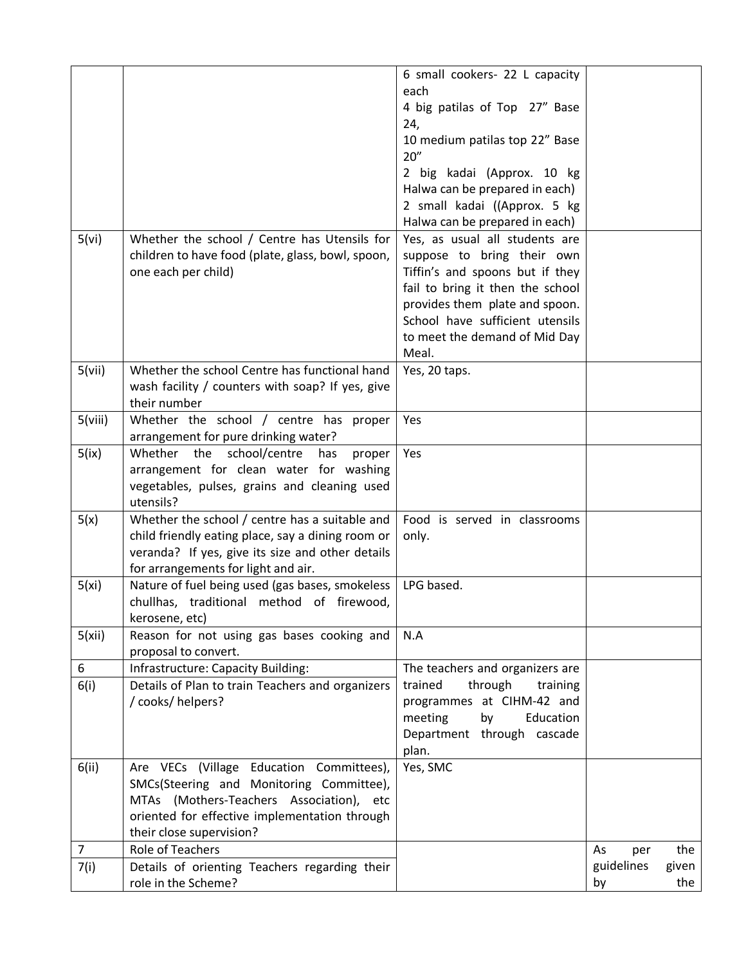|         |                                                                                             | 6 small cookers- 22 L capacity         |            |       |
|---------|---------------------------------------------------------------------------------------------|----------------------------------------|------------|-------|
|         |                                                                                             | each                                   |            |       |
|         |                                                                                             | 4 big patilas of Top 27" Base          |            |       |
|         |                                                                                             | 24,                                    |            |       |
|         |                                                                                             | 10 medium patilas top 22" Base<br>20'' |            |       |
|         |                                                                                             | 2 big kadai (Approx. 10 kg             |            |       |
|         |                                                                                             | Halwa can be prepared in each)         |            |       |
|         |                                                                                             | 2 small kadai ((Approx. 5 kg           |            |       |
|         |                                                                                             | Halwa can be prepared in each)         |            |       |
| 5(vi)   | Whether the school / Centre has Utensils for                                                | Yes, as usual all students are         |            |       |
|         | children to have food (plate, glass, bowl, spoon,                                           | suppose to bring their own             |            |       |
|         | one each per child)                                                                         | Tiffin's and spoons but if they        |            |       |
|         |                                                                                             | fail to bring it then the school       |            |       |
|         |                                                                                             | provides them plate and spoon.         |            |       |
|         |                                                                                             | School have sufficient utensils        |            |       |
|         |                                                                                             | to meet the demand of Mid Day          |            |       |
|         |                                                                                             | Meal.                                  |            |       |
| 5(vii)  | Whether the school Centre has functional hand                                               | Yes, 20 taps.                          |            |       |
|         | wash facility / counters with soap? If yes, give                                            |                                        |            |       |
|         | their number                                                                                |                                        |            |       |
| 5(viii) | Whether the school / centre has proper                                                      | Yes                                    |            |       |
|         | arrangement for pure drinking water?                                                        |                                        |            |       |
| 5(ix)   | school/centre<br>Whether<br>the<br>has<br>proper<br>arrangement for clean water for washing | Yes                                    |            |       |
|         | vegetables, pulses, grains and cleaning used                                                |                                        |            |       |
|         | utensils?                                                                                   |                                        |            |       |
| 5(x)    | Whether the school / centre has a suitable and                                              | Food is served in classrooms           |            |       |
|         | child friendly eating place, say a dining room or                                           | only.                                  |            |       |
|         | veranda? If yes, give its size and other details                                            |                                        |            |       |
|         | for arrangements for light and air.                                                         |                                        |            |       |
| 5(xi)   | Nature of fuel being used (gas bases, smokeless                                             | LPG based.                             |            |       |
|         | chullhas, traditional method of firewood,                                                   |                                        |            |       |
|         | kerosene, etc)                                                                              |                                        |            |       |
| 5(xii)  | Reason for not using gas bases cooking and                                                  | N.A                                    |            |       |
|         | proposal to convert.                                                                        |                                        |            |       |
| 6       | Infrastructure: Capacity Building:                                                          | The teachers and organizers are        |            |       |
| 6(i)    | Details of Plan to train Teachers and organizers                                            | trained<br>through<br>training         |            |       |
|         | / cooks/ helpers?                                                                           | programmes at CIHM-42 and              |            |       |
|         |                                                                                             | meeting<br>by<br>Education             |            |       |
|         |                                                                                             | Department through cascade             |            |       |
|         |                                                                                             | plan.                                  |            |       |
| 6(ii)   | Are VECs (Village Education Committees),                                                    | Yes, SMC                               |            |       |
|         | SMCs(Steering and Monitoring Committee),                                                    |                                        |            |       |
|         | MTAs (Mothers-Teachers Association), etc                                                    |                                        |            |       |
|         | oriented for effective implementation through                                               |                                        |            |       |
|         | their close supervision?                                                                    |                                        |            |       |
| 7       | Role of Teachers                                                                            |                                        | As<br>per  | the   |
| 7(i)    | Details of orienting Teachers regarding their                                               |                                        | guidelines | given |
|         | role in the Scheme?                                                                         |                                        | by         | the   |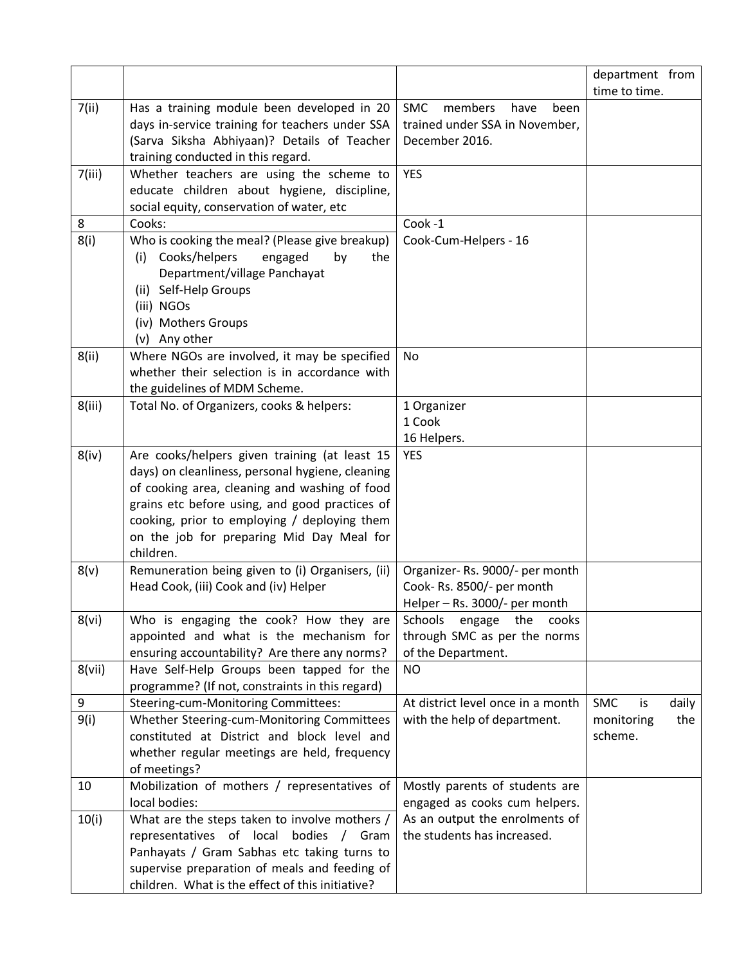|        |                                                                                                                                                                                                                                                               |                                                                                                | department from              |
|--------|---------------------------------------------------------------------------------------------------------------------------------------------------------------------------------------------------------------------------------------------------------------|------------------------------------------------------------------------------------------------|------------------------------|
|        |                                                                                                                                                                                                                                                               |                                                                                                | time to time.                |
| 7(ii)  | Has a training module been developed in 20<br>days in-service training for teachers under SSA<br>(Sarva Siksha Abhiyaan)? Details of Teacher<br>training conducted in this regard.                                                                            | <b>SMC</b><br>members<br>have<br>been<br>trained under SSA in November,<br>December 2016.      |                              |
| 7(iii) | Whether teachers are using the scheme to<br>educate children about hygiene, discipline,<br>social equity, conservation of water, etc                                                                                                                          | <b>YES</b>                                                                                     |                              |
| 8      | Cooks:                                                                                                                                                                                                                                                        | Cook-1                                                                                         |                              |
| 8(i)   | Who is cooking the meal? (Please give breakup)<br>Cooks/helpers<br>engaged<br>the<br>(i)<br>by<br>Department/village Panchayat<br>(ii) Self-Help Groups<br>(iii) NGOs<br>(iv) Mothers Groups<br>(v) Any other                                                 | Cook-Cum-Helpers - 16                                                                          |                              |
| 8(ii)  | Where NGOs are involved, it may be specified                                                                                                                                                                                                                  | No                                                                                             |                              |
|        | whether their selection is in accordance with                                                                                                                                                                                                                 |                                                                                                |                              |
|        | the guidelines of MDM Scheme.                                                                                                                                                                                                                                 |                                                                                                |                              |
| 8(iii) | Total No. of Organizers, cooks & helpers:                                                                                                                                                                                                                     | 1 Organizer                                                                                    |                              |
|        |                                                                                                                                                                                                                                                               | 1 Cook                                                                                         |                              |
| 8(iv)  | Are cooks/helpers given training (at least 15                                                                                                                                                                                                                 | 16 Helpers.<br><b>YES</b>                                                                      |                              |
|        | days) on cleanliness, personal hygiene, cleaning<br>of cooking area, cleaning and washing of food<br>grains etc before using, and good practices of<br>cooking, prior to employing / deploying them<br>on the job for preparing Mid Day Meal for<br>children. |                                                                                                |                              |
| 8(v)   | Remuneration being given to (i) Organisers, (ii)<br>Head Cook, (iii) Cook and (iv) Helper                                                                                                                                                                     | Organizer-Rs. 9000/- per month<br>Cook-Rs. 8500/- per month<br>Helper - Rs. 3000/- per month   |                              |
| 8(vi)  | Who is engaging the cook? How they are<br>appointed and what is the mechanism for<br>ensuring accountability? Are there any norms?                                                                                                                            | cooks<br><b>Schools</b><br>engage<br>the<br>through SMC as per the norms<br>of the Department. |                              |
| 8(vii) | Have Self-Help Groups been tapped for the<br>programme? (If not, constraints in this regard)                                                                                                                                                                  | <b>NO</b>                                                                                      |                              |
| 9      | Steering-cum-Monitoring Committees:                                                                                                                                                                                                                           | At district level once in a month                                                              | <b>SMC</b><br>is<br>daily    |
| 9(i)   | Whether Steering-cum-Monitoring Committees<br>constituted at District and block level and<br>whether regular meetings are held, frequency<br>of meetings?                                                                                                     | with the help of department.                                                                   | the<br>monitoring<br>scheme. |
| 10     | Mobilization of mothers / representatives of                                                                                                                                                                                                                  | Mostly parents of students are                                                                 |                              |
|        | local bodies:                                                                                                                                                                                                                                                 | engaged as cooks cum helpers.                                                                  |                              |
| 10(i)  | What are the steps taken to involve mothers /<br>representatives of local<br>bodies / Gram<br>Panhayats / Gram Sabhas etc taking turns to<br>supervise preparation of meals and feeding of<br>children. What is the effect of this initiative?                | As an output the enrolments of<br>the students has increased.                                  |                              |